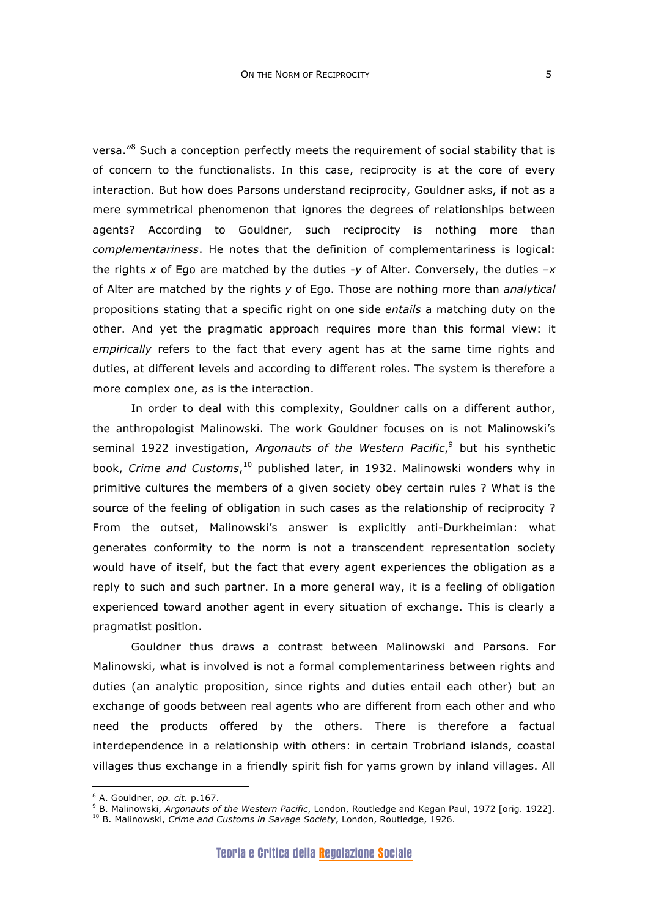versa."<sup>8</sup> Such a conception perfectly meets the requirement of social stability that is of concern to the functionalists. In this case, reciprocity is at the core of every interaction. But how does Parsons understand reciprocity, Gouldner asks, if not as a mere symmetrical phenomenon that ignores the degrees of relationships between agents? According to Gouldner, such reciprocity is nothing more than *complementariness*. He notes that the definition of complementariness is logical: the rights *x* of Ego are matched by the duties -*y* of Alter. Conversely, the duties *–x*  of Alter are matched by the rights *y* of Ego. Those are nothing more than *analytical* propositions stating that a specific right on one side *entails* a matching duty on the other. And yet the pragmatic approach requires more than this formal view: it *empirically* refers to the fact that every agent has at the same time rights and duties, at different levels and according to different roles. The system is therefore a more complex one, as is the interaction.

In order to deal with this complexity, Gouldner calls on a different author, the anthropologist Malinowski. The work Gouldner focuses on is not Malinowski's seminal 1922 investigation, Argonauts of the Western Pacific,<sup>9</sup> but his synthetic book, *Crime and Customs*, 10 published later, in 1932. Malinowski wonders why in primitive cultures the members of a given society obey certain rules ? What is the source of the feeling of obligation in such cases as the relationship of reciprocity ? From the outset, Malinowski's answer is explicitly anti-Durkheimian: what generates conformity to the norm is not a transcendent representation society would have of itself, but the fact that every agent experiences the obligation as a reply to such and such partner. In a more general way, it is a feeling of obligation experienced toward another agent in every situation of exchange. This is clearly a pragmatist position.

Gouldner thus draws a contrast between Malinowski and Parsons. For Malinowski, what is involved is not a formal complementariness between rights and duties (an analytic proposition, since rights and duties entail each other) but an exchange of goods between real agents who are different from each other and who need the products offered by the others. There is therefore a factual interdependence in a relationship with others: in certain Trobriand islands, coastal villages thus exchange in a friendly spirit fish for yams grown by inland villages. All

<sup>8</sup> A. Gouldner, *op. cit.* p.167.

<sup>9</sup> B. Malinowski, *Argonauts of the Western Pacific*, London, Routledge and Kegan Paul, 1972 [orig. 1922].

<sup>10</sup> B. Malinowski, *Crime and Customs in Savage Society*, London, Routledge, 1926.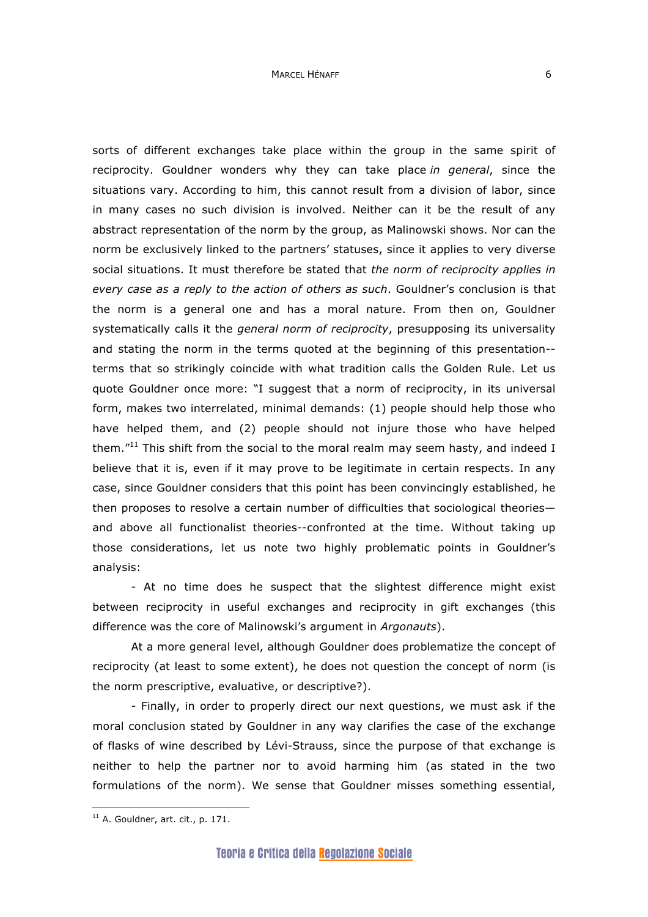sorts of different exchanges take place within the group in the same spirit of reciprocity. Gouldner wonders why they can take place *in general*, since the situations vary. According to him, this cannot result from a division of labor, since in many cases no such division is involved. Neither can it be the result of any abstract representation of the norm by the group, as Malinowski shows. Nor can the norm be exclusively linked to the partners' statuses, since it applies to very diverse social situations. It must therefore be stated that *the norm of reciprocity applies in every case as a reply to the action of others as such*. Gouldner's conclusion is that the norm is a general one and has a moral nature. From then on, Gouldner systematically calls it the *general norm of reciprocity*, presupposing its universality and stating the norm in the terms quoted at the beginning of this presentation- terms that so strikingly coincide with what tradition calls the Golden Rule. Let us quote Gouldner once more: "I suggest that a norm of reciprocity, in its universal form, makes two interrelated, minimal demands: (1) people should help those who have helped them, and (2) people should not injure those who have helped them."<sup>11</sup> This shift from the social to the moral realm may seem hasty, and indeed I believe that it is, even if it may prove to be legitimate in certain respects. In any case, since Gouldner considers that this point has been convincingly established, he then proposes to resolve a certain number of difficulties that sociological theories and above all functionalist theories--confronted at the time. Without taking up those considerations, let us note two highly problematic points in Gouldner's analysis:

- At no time does he suspect that the slightest difference might exist between reciprocity in useful exchanges and reciprocity in gift exchanges (this difference was the core of Malinowski's argument in *Argonauts*).

At a more general level, although Gouldner does problematize the concept of reciprocity (at least to some extent), he does not question the concept of norm (is the norm prescriptive, evaluative, or descriptive?).

- Finally, in order to properly direct our next questions, we must ask if the moral conclusion stated by Gouldner in any way clarifies the case of the exchange of flasks of wine described by Lévi-Strauss, since the purpose of that exchange is neither to help the partner nor to avoid harming him (as stated in the two formulations of the norm). We sense that Gouldner misses something essential,

 $11$  A. Gouldner, art. cit., p. 171.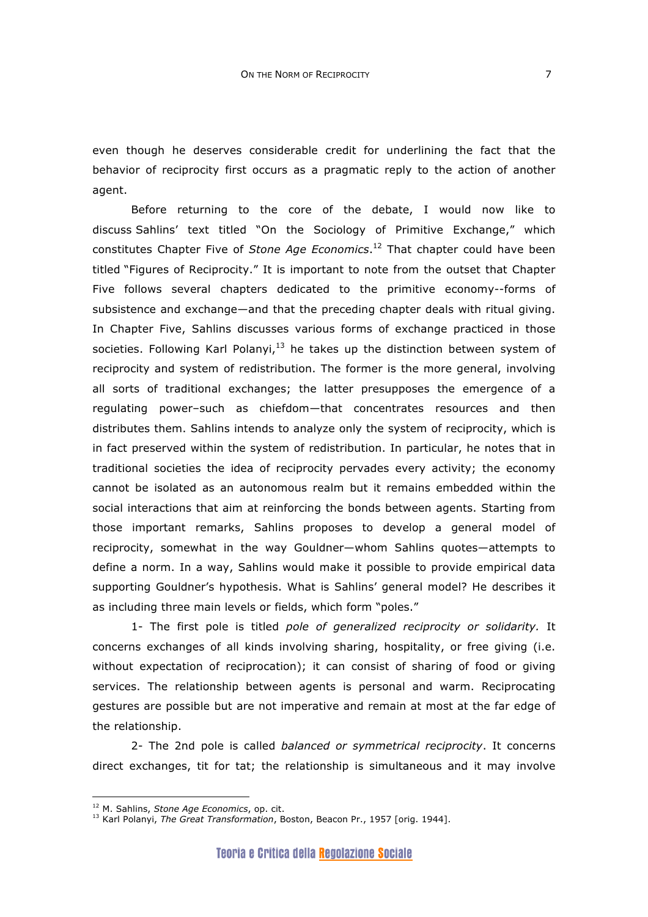even though he deserves considerable credit for underlining the fact that the behavior of reciprocity first occurs as a pragmatic reply to the action of another agent.

Before returning to the core of the debate, I would now like to discuss Sahlins' text titled "On the Sociology of Primitive Exchange," which constitutes Chapter Five of *Stone Age Economics*. 12 That chapter could have been titled "Figures of Reciprocity." It is important to note from the outset that Chapter Five follows several chapters dedicated to the primitive economy--forms of subsistence and exchange—and that the preceding chapter deals with ritual giving. In Chapter Five, Sahlins discusses various forms of exchange practiced in those societies. Following Karl Polanyi, $13$  he takes up the distinction between system of reciprocity and system of redistribution. The former is the more general, involving all sorts of traditional exchanges; the latter presupposes the emergence of a regulating power–such as chiefdom—that concentrates resources and then distributes them. Sahlins intends to analyze only the system of reciprocity, which is in fact preserved within the system of redistribution. In particular, he notes that in traditional societies the idea of reciprocity pervades every activity; the economy cannot be isolated as an autonomous realm but it remains embedded within the social interactions that aim at reinforcing the bonds between agents. Starting from those important remarks, Sahlins proposes to develop a general model of reciprocity, somewhat in the way Gouldner—whom Sahlins quotes—attempts to define a norm. In a way, Sahlins would make it possible to provide empirical data supporting Gouldner's hypothesis. What is Sahlins' general model? He describes it as including three main levels or fields, which form "poles."

1- The first pole is titled *pole of generalized reciprocity or solidarity.* It concerns exchanges of all kinds involving sharing, hospitality, or free giving (i.e. without expectation of reciprocation); it can consist of sharing of food or giving services. The relationship between agents is personal and warm. Reciprocating gestures are possible but are not imperative and remain at most at the far edge of the relationship.

2- The 2nd pole is called *balanced or symmetrical reciprocity*. It concerns direct exchanges, tit for tat; the relationship is simultaneous and it may involve

<sup>&</sup>lt;sup>12</sup> M. Sahlins, *Stone Age Economics*, op. cit.<br><sup>13</sup> Karl Polanyi, *The Great Transformation*, Boston, Beacon Pr., 1957 [orig. 1944].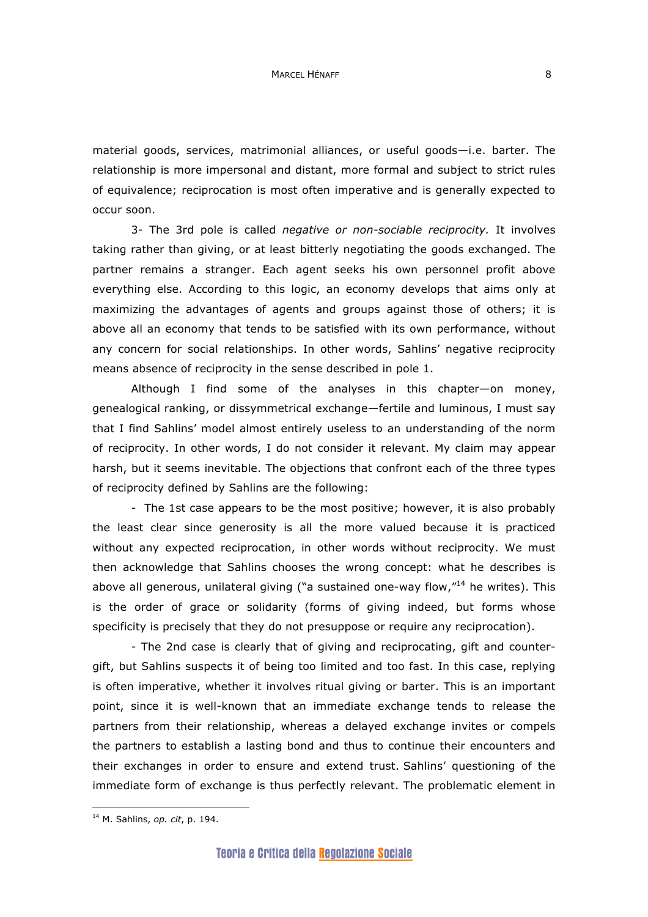material goods, services, matrimonial alliances, or useful goods—i.e. barter. The relationship is more impersonal and distant, more formal and subject to strict rules of equivalence; reciprocation is most often imperative and is generally expected to occur soon.

3- The 3rd pole is called *negative or non-sociable reciprocity.* It involves taking rather than giving, or at least bitterly negotiating the goods exchanged. The partner remains a stranger. Each agent seeks his own personnel profit above everything else. According to this logic, an economy develops that aims only at maximizing the advantages of agents and groups against those of others; it is above all an economy that tends to be satisfied with its own performance, without any concern for social relationships. In other words, Sahlins' negative reciprocity means absence of reciprocity in the sense described in pole 1.

Although I find some of the analyses in this chapter—on money, genealogical ranking, or dissymmetrical exchange—fertile and luminous, I must say that I find Sahlins' model almost entirely useless to an understanding of the norm of reciprocity. In other words, I do not consider it relevant. My claim may appear harsh, but it seems inevitable. The objections that confront each of the three types of reciprocity defined by Sahlins are the following:

- The 1st case appears to be the most positive; however, it is also probably the least clear since generosity is all the more valued because it is practiced without any expected reciprocation, in other words without reciprocity. We must then acknowledge that Sahlins chooses the wrong concept: what he describes is above all generous, unilateral giving ("a sustained one-way flow, $n^{14}$  he writes). This is the order of grace or solidarity (forms of giving indeed, but forms whose specificity is precisely that they do not presuppose or require any reciprocation).

- The 2nd case is clearly that of giving and reciprocating, gift and countergift, but Sahlins suspects it of being too limited and too fast. In this case, replying is often imperative, whether it involves ritual giving or barter. This is an important point, since it is well-known that an immediate exchange tends to release the partners from their relationship, whereas a delayed exchange invites or compels the partners to establish a lasting bond and thus to continue their encounters and their exchanges in order to ensure and extend trust. Sahlins' questioning of the immediate form of exchange is thus perfectly relevant. The problematic element in

<sup>14</sup> M. Sahlins, *op. cit*, p. 194.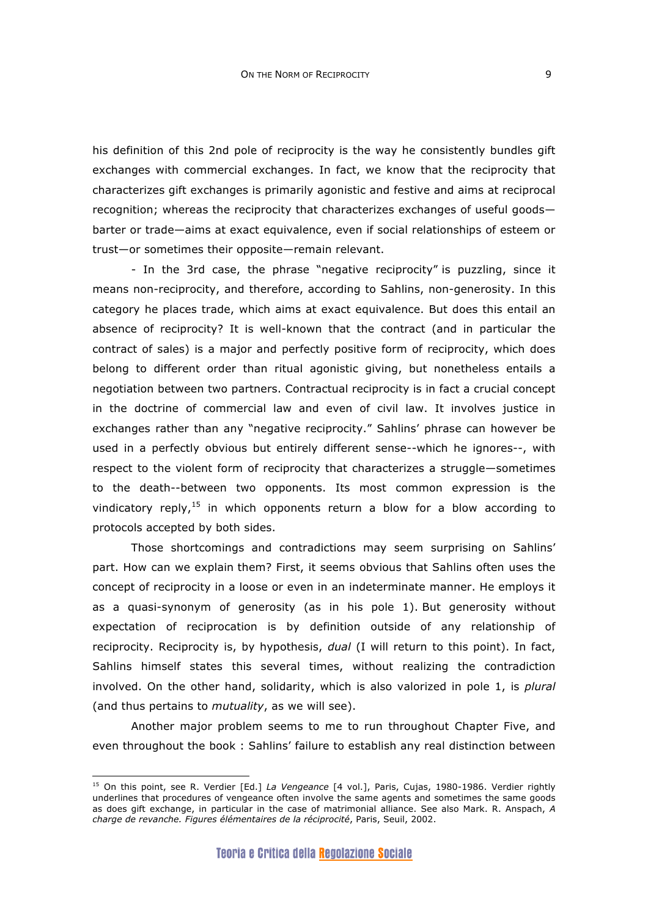his definition of this 2nd pole of reciprocity is the way he consistently bundles gift exchanges with commercial exchanges. In fact, we know that the reciprocity that characterizes gift exchanges is primarily agonistic and festive and aims at reciprocal recognition; whereas the reciprocity that characterizes exchanges of useful goods barter or trade—aims at exact equivalence, even if social relationships of esteem or trust—or sometimes their opposite—remain relevant.

- In the 3rd case, the phrase "negative reciprocity" is puzzling, since it means non-reciprocity, and therefore, according to Sahlins, non-generosity. In this category he places trade, which aims at exact equivalence. But does this entail an absence of reciprocity? It is well-known that the contract (and in particular the contract of sales) is a major and perfectly positive form of reciprocity, which does belong to different order than ritual agonistic giving, but nonetheless entails a negotiation between two partners. Contractual reciprocity is in fact a crucial concept in the doctrine of commercial law and even of civil law. It involves justice in exchanges rather than any "negative reciprocity." Sahlins' phrase can however be used in a perfectly obvious but entirely different sense--which he ignores--, with respect to the violent form of reciprocity that characterizes a struggle—sometimes to the death--between two opponents. Its most common expression is the vindicatory reply,<sup>15</sup> in which opponents return a blow for a blow according to protocols accepted by both sides.

Those shortcomings and contradictions may seem surprising on Sahlins' part. How can we explain them? First, it seems obvious that Sahlins often uses the concept of reciprocity in a loose or even in an indeterminate manner. He employs it as a quasi-synonym of generosity (as in his pole 1). But generosity without expectation of reciprocation is by definition outside of any relationship of reciprocity. Reciprocity is, by hypothesis, *dual* (I will return to this point). In fact, Sahlins himself states this several times, without realizing the contradiction involved. On the other hand, solidarity, which is also valorized in pole 1, is *plural* (and thus pertains to *mutuality*, as we will see).

Another major problem seems to me to run throughout Chapter Five, and even throughout the book : Sahlins' failure to establish any real distinction between

<sup>15</sup> On this point, see R. Verdier [Ed.] *La Vengeance* [4 vol.], Paris, Cujas, 1980-1986. Verdier rightly underlines that procedures of vengeance often involve the same agents and sometimes the same goods as does gift exchange, in particular in the case of matrimonial alliance. See also Mark. R. Anspach, *A charge de revanche. Figures élémentaires de la réciprocité*, Paris, Seuil, 2002.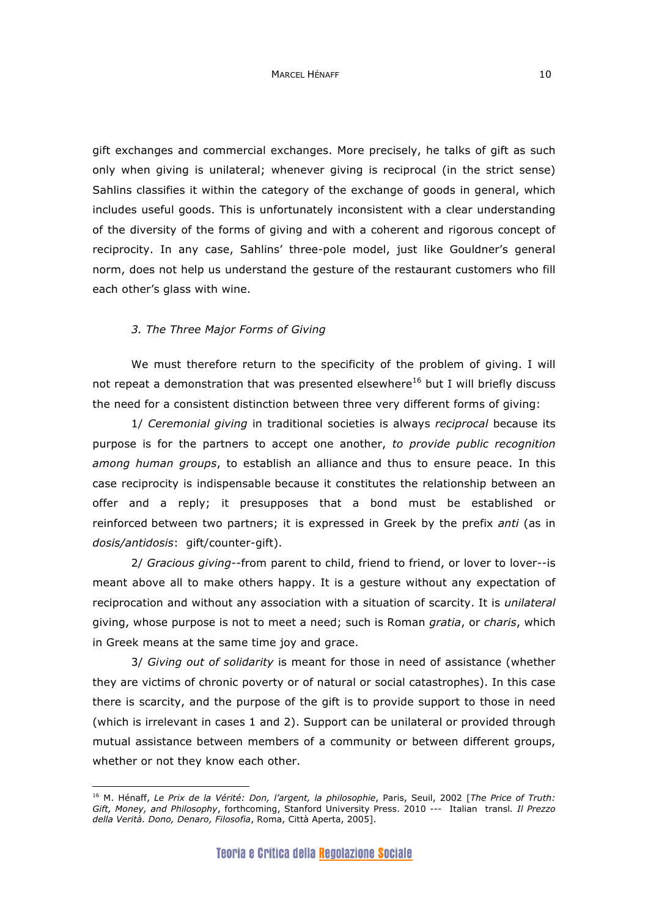gift exchanges and commercial exchanges. More precisely, he talks of gift as such only when giving is unilateral; whenever giving is reciprocal (in the strict sense) Sahlins classifies it within the category of the exchange of goods in general, which includes useful goods. This is unfortunately inconsistent with a clear understanding of the diversity of the forms of giving and with a coherent and rigorous concept of reciprocity. In any case, Sahlins' three-pole model, just like Gouldner's general norm, does not help us understand the gesture of the restaurant customers who fill each other's glass with wine.

### *3. The Three Major Forms of Giving*

 $\overline{a}$ 

We must therefore return to the specificity of the problem of giving. I will not repeat a demonstration that was presented elsewhere<sup>16</sup> but I will briefly discuss the need for a consistent distinction between three very different forms of giving:

1/ *Ceremonial giving* in traditional societies is always *reciprocal* because its purpose is for the partners to accept one another, *to provide public recognition among human groups*, to establish an alliance and thus to ensure peace. In this case reciprocity is indispensable because it constitutes the relationship between an offer and a reply; it presupposes that a bond must be established or reinforced between two partners; it is expressed in Greek by the prefix *anti* (as in *dosis/antidosis*: gift/counter-gift).

2/ *Gracious giving*--from parent to child, friend to friend, or lover to lover--is meant above all to make others happy. It is a gesture without any expectation of reciprocation and without any association with a situation of scarcity. It is *unilateral* giving, whose purpose is not to meet a need; such is Roman *gratia*, or *charis*, which in Greek means at the same time joy and grace.

3/ *Giving out of solidarity* is meant for those in need of assistance (whether they are victims of chronic poverty or of natural or social catastrophes). In this case there is scarcity, and the purpose of the gift is to provide support to those in need (which is irrelevant in cases 1 and 2). Support can be unilateral or provided through mutual assistance between members of a community or between different groups, whether or not they know each other.

<sup>16</sup> M. Hénaff, *Le Prix de la Vérité: Don, l'argent, la philosophie*, Paris, Seuil, 2002 [*The Price of Truth: Gift, Money, and Philosophy*, forthcoming, Stanford University Press. 2010 --- Italian transl*. Il Prezzo della Verità. Dono, Denaro, Filosofia*, Roma, Città Aperta, 2005].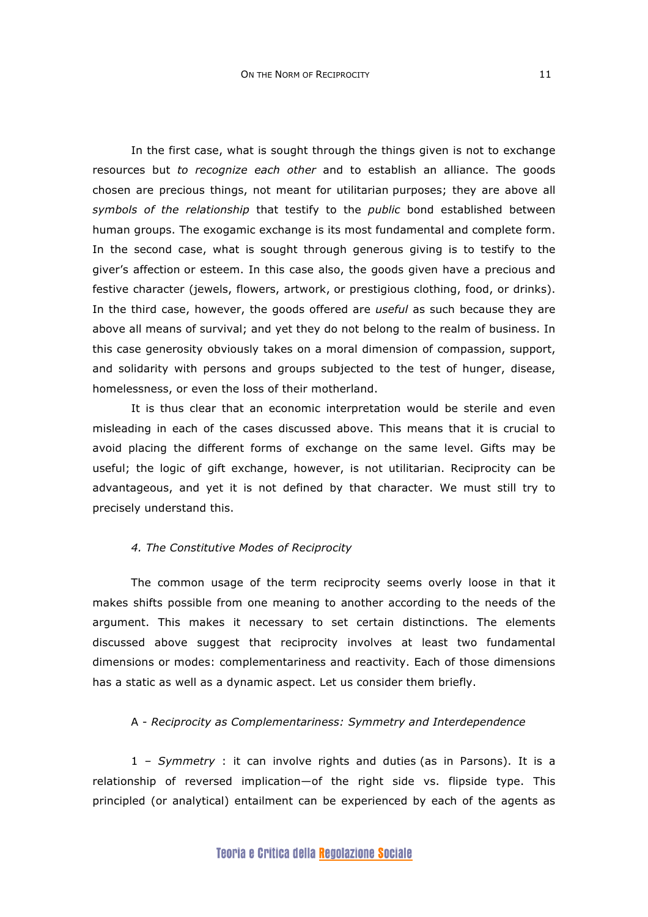In the first case, what is sought through the things given is not to exchange resources but *to recognize each other* and to establish an alliance. The goods chosen are precious things, not meant for utilitarian purposes; they are above all *symbols of the relationship* that testify to the *public* bond established between human groups. The exogamic exchange is its most fundamental and complete form. In the second case, what is sought through generous giving is to testify to the giver's affection or esteem. In this case also, the goods given have a precious and festive character (jewels, flowers, artwork, or prestigious clothing, food, or drinks). In the third case, however, the goods offered are *useful* as such because they are above all means of survival; and yet they do not belong to the realm of business. In this case generosity obviously takes on a moral dimension of compassion, support, and solidarity with persons and groups subjected to the test of hunger, disease, homelessness, or even the loss of their motherland.

It is thus clear that an economic interpretation would be sterile and even misleading in each of the cases discussed above. This means that it is crucial to avoid placing the different forms of exchange on the same level. Gifts may be useful; the logic of gift exchange, however, is not utilitarian. Reciprocity can be advantageous, and yet it is not defined by that character. We must still try to precisely understand this.

# *4. The Constitutive Modes of Reciprocity*

The common usage of the term reciprocity seems overly loose in that it makes shifts possible from one meaning to another according to the needs of the argument. This makes it necessary to set certain distinctions. The elements discussed above suggest that reciprocity involves at least two fundamental dimensions or modes: complementariness and reactivity. Each of those dimensions has a static as well as a dynamic aspect. Let us consider them briefly.

# A - *Reciprocity as Complementariness: Symmetry and Interdependence*

1 – *Symmetry* : it can involve rights and duties (as in Parsons). It is a relationship of reversed implication—of the right side vs. flipside type. This principled (or analytical) entailment can be experienced by each of the agents as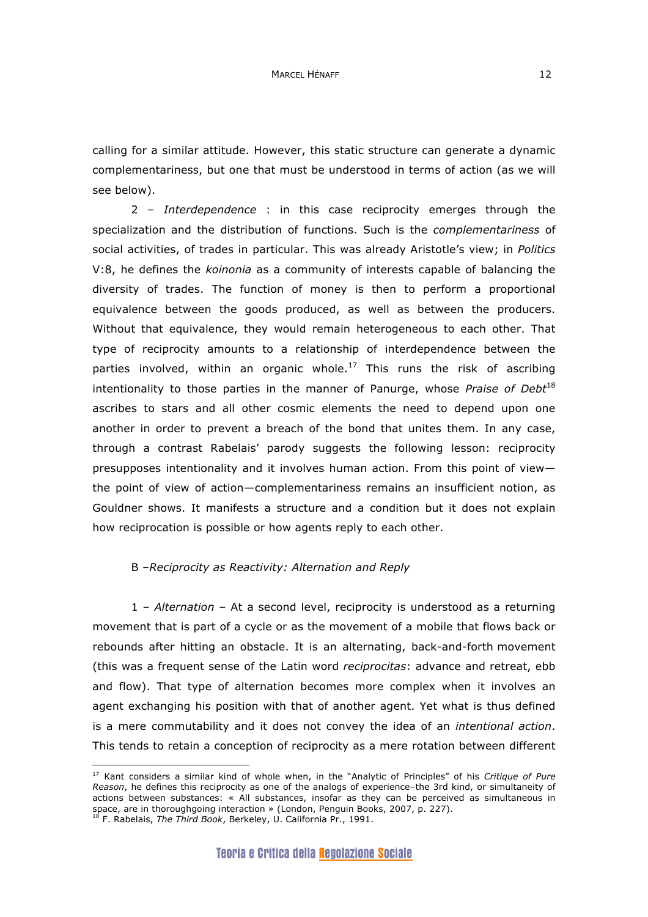calling for a similar attitude. However, this static structure can generate a dynamic complementariness, but one that must be understood in terms of action (as we will see below).

2 – *Interdependence* : in this case reciprocity emerges through the specialization and the distribution of functions. Such is the *complementariness* of social activities, of trades in particular. This was already Aristotle's view; in *Politics*  V:8, he defines the *koinonia* as a community of interests capable of balancing the diversity of trades. The function of money is then to perform a proportional equivalence between the goods produced, as well as between the producers. Without that equivalence, they would remain heterogeneous to each other. That type of reciprocity amounts to a relationship of interdependence between the parties involved, within an organic whole.<sup>17</sup> This runs the risk of ascribing intentionality to those parties in the manner of Panurge, whose *Praise of Debt*<sup>18</sup> ascribes to stars and all other cosmic elements the need to depend upon one another in order to prevent a breach of the bond that unites them. In any case, through a contrast Rabelais' parody suggests the following lesson: reciprocity presupposes intentionality and it involves human action. From this point of view the point of view of action—complementariness remains an insufficient notion, as Gouldner shows. It manifests a structure and a condition but it does not explain how reciprocation is possible or how agents reply to each other.

### B –*Reciprocity as Reactivity: Alternation and Reply*

1 – *Alternation* – At a second level, reciprocity is understood as a returning movement that is part of a cycle or as the movement of a mobile that flows back or rebounds after hitting an obstacle. It is an alternating, back-and-forth movement (this was a frequent sense of the Latin word *reciprocitas*: advance and retreat, ebb and flow). That type of alternation becomes more complex when it involves an agent exchanging his position with that of another agent. Yet what is thus defined is a mere commutability and it does not convey the idea of an *intentional action*. This tends to retain a conception of reciprocity as a mere rotation between different

<sup>17</sup> Kant considers a similar kind of whole when, in the "Analytic of Principles" of his *Critique of Pure Reason*, he defines this reciprocity as one of the analogs of experience–the 3rd kind, or simultaneity of actions between substances: « All substances, insofar as they can be perceived as simultaneous in space, are in thoroughgoing interaction » (London, Penguin Books, 2007, p. 227).

<sup>18</sup> F. Rabelais, *The Third Book*, Berkeley, U. California Pr., 1991.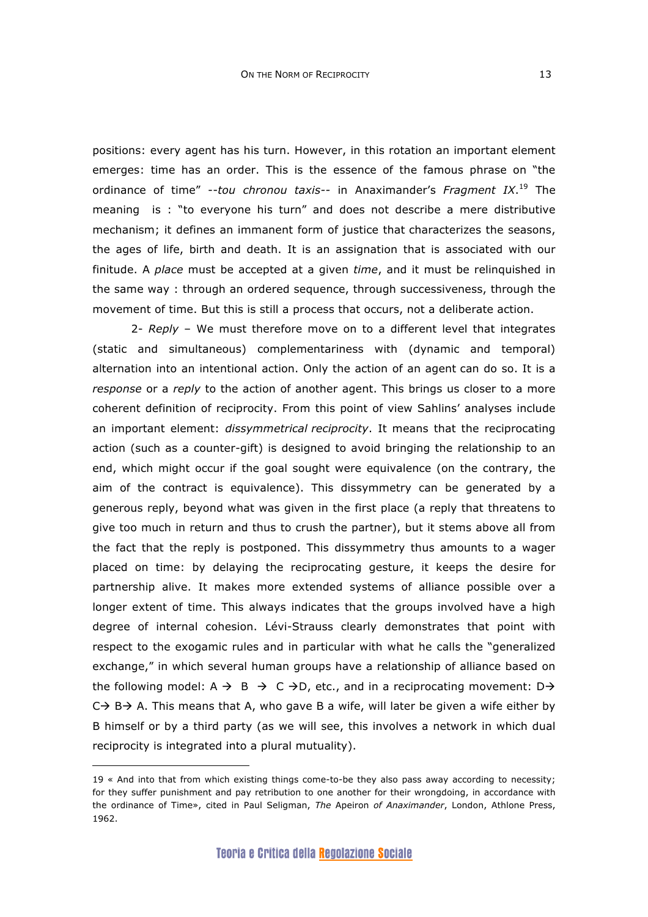positions: every agent has his turn. However, in this rotation an important element emerges: time has an order. This is the essence of the famous phrase on "the ordinance of time" --*tou chronou taxis--* in Anaximander's *Fragment IX*. 19 The meaning is : "to everyone his turn" and does not describe a mere distributive mechanism; it defines an immanent form of justice that characterizes the seasons, the ages of life, birth and death. It is an assignation that is associated with our finitude. A *place* must be accepted at a given *time*, and it must be relinquished in the same way : through an ordered sequence, through successiveness, through the movement of time. But this is still a process that occurs, not a deliberate action.

2- *Reply* – We must therefore move on to a different level that integrates (static and simultaneous) complementariness with (dynamic and temporal) alternation into an intentional action. Only the action of an agent can do so. It is a *response* or a *reply* to the action of another agent. This brings us closer to a more coherent definition of reciprocity. From this point of view Sahlins' analyses include an important element: *dissymmetrical reciprocity*. It means that the reciprocating action (such as a counter-gift) is designed to avoid bringing the relationship to an end, which might occur if the goal sought were equivalence (on the contrary, the aim of the contract is equivalence). This dissymmetry can be generated by a generous reply, beyond what was given in the first place (a reply that threatens to give too much in return and thus to crush the partner), but it stems above all from the fact that the reply is postponed. This dissymmetry thus amounts to a wager placed on time: by delaying the reciprocating gesture, it keeps the desire for partnership alive. It makes more extended systems of alliance possible over a longer extent of time. This always indicates that the groups involved have a high degree of internal cohesion. Lévi-Strauss clearly demonstrates that point with respect to the exogamic rules and in particular with what he calls the "generalized exchange," in which several human groups have a relationship of alliance based on the following model:  $A \rightarrow B \rightarrow C \rightarrow D$ , etc., and in a reciprocating movement:  $D \rightarrow$  $C \rightarrow B \rightarrow A$ . This means that A, who gave B a wife, will later be given a wife either by B himself or by a third party (as we will see, this involves a network in which dual reciprocity is integrated into a plural mutuality).

<sup>19</sup> « And into that from which existing things come-to-be they also pass away according to necessity; for they suffer punishment and pay retribution to one another for their wrongdoing, in accordance with the ordinance of Time», cited in Paul Seligman, *The* Apeiron *of Anaximander*, London, Athlone Press, 1962.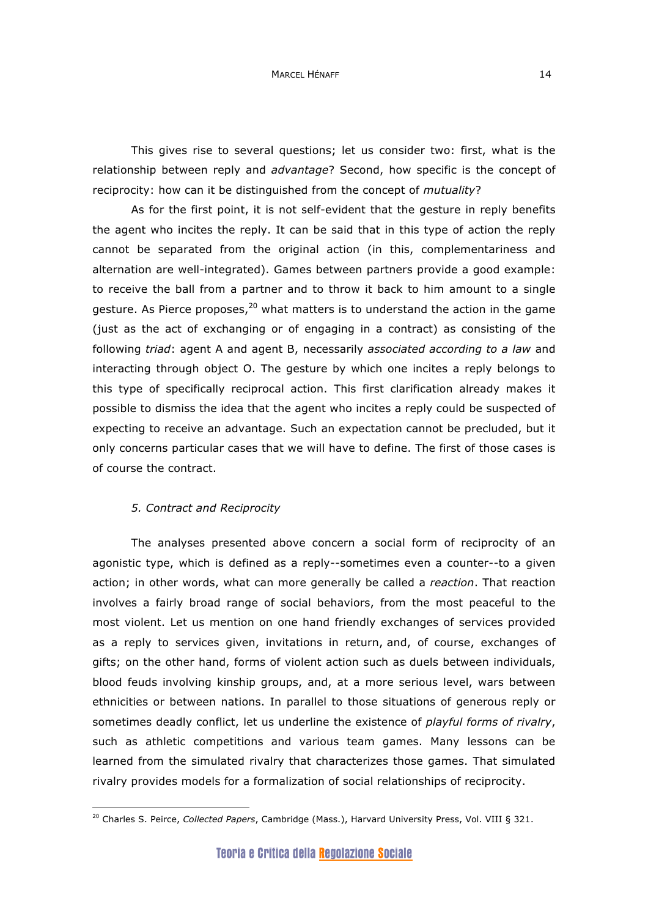This gives rise to several questions; let us consider two: first, what is the relationship between reply and *advantage*? Second, how specific is the concept of reciprocity: how can it be distinguished from the concept of *mutuality*?

As for the first point, it is not self-evident that the gesture in reply benefits the agent who incites the reply. It can be said that in this type of action the reply cannot be separated from the original action (in this, complementariness and alternation are well-integrated). Games between partners provide a good example: to receive the ball from a partner and to throw it back to him amount to a single gesture. As Pierce proposes, $20$  what matters is to understand the action in the game (just as the act of exchanging or of engaging in a contract) as consisting of the following *triad*: agent A and agent B, necessarily *associated according to a law* and interacting through object O. The gesture by which one incites a reply belongs to this type of specifically reciprocal action. This first clarification already makes it possible to dismiss the idea that the agent who incites a reply could be suspected of expecting to receive an advantage. Such an expectation cannot be precluded, but it only concerns particular cases that we will have to define. The first of those cases is of course the contract.

## *5. Contract and Reciprocity*

 $\overline{a}$ 

The analyses presented above concern a social form of reciprocity of an agonistic type, which is defined as a reply--sometimes even a counter--to a given action; in other words, what can more generally be called a *reaction*. That reaction involves a fairly broad range of social behaviors, from the most peaceful to the most violent. Let us mention on one hand friendly exchanges of services provided as a reply to services given, invitations in return, and, of course, exchanges of gifts; on the other hand, forms of violent action such as duels between individuals, blood feuds involving kinship groups, and, at a more serious level, wars between ethnicities or between nations. In parallel to those situations of generous reply or sometimes deadly conflict, let us underline the existence of *playful forms of rivalry*, such as athletic competitions and various team games. Many lessons can be learned from the simulated rivalry that characterizes those games. That simulated rivalry provides models for a formalization of social relationships of reciprocity.

<sup>20</sup> Charles S. Peirce, *Collected Papers*, Cambridge (Mass.), Harvard University Press, Vol. VIII § 321.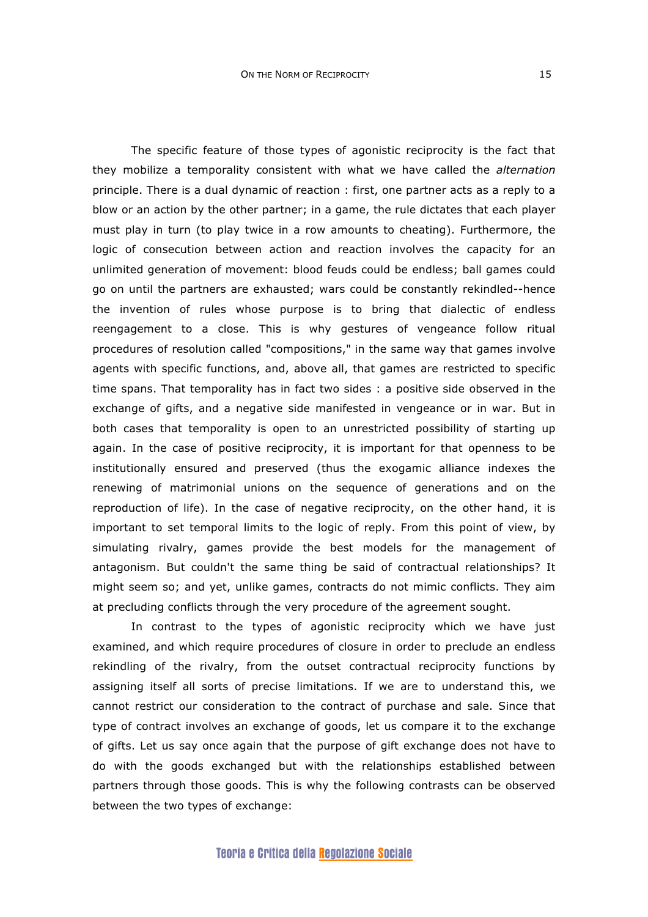The specific feature of those types of agonistic reciprocity is the fact that they mobilize a temporality consistent with what we have called the *alternation* principle. There is a dual dynamic of reaction : first, one partner acts as a reply to a blow or an action by the other partner; in a game, the rule dictates that each player must play in turn (to play twice in a row amounts to cheating). Furthermore, the logic of consecution between action and reaction involves the capacity for an unlimited generation of movement: blood feuds could be endless; ball games could go on until the partners are exhausted; wars could be constantly rekindled--hence the invention of rules whose purpose is to bring that dialectic of endless reengagement to a close. This is why gestures of vengeance follow ritual procedures of resolution called "compositions," in the same way that games involve agents with specific functions, and, above all, that games are restricted to specific time spans. That temporality has in fact two sides : a positive side observed in the exchange of gifts, and a negative side manifested in vengeance or in war. But in both cases that temporality is open to an unrestricted possibility of starting up again. In the case of positive reciprocity, it is important for that openness to be institutionally ensured and preserved (thus the exogamic alliance indexes the renewing of matrimonial unions on the sequence of generations and on the reproduction of life). In the case of negative reciprocity, on the other hand, it is important to set temporal limits to the logic of reply. From this point of view, by simulating rivalry, games provide the best models for the management of antagonism. But couldn't the same thing be said of contractual relationships? It might seem so; and yet, unlike games, contracts do not mimic conflicts. They aim at precluding conflicts through the very procedure of the agreement sought.

In contrast to the types of agonistic reciprocity which we have just examined, and which require procedures of closure in order to preclude an endless rekindling of the rivalry, from the outset contractual reciprocity functions by assigning itself all sorts of precise limitations. If we are to understand this, we cannot restrict our consideration to the contract of purchase and sale. Since that type of contract involves an exchange of goods, let us compare it to the exchange of gifts. Let us say once again that the purpose of gift exchange does not have to do with the goods exchanged but with the relationships established between partners through those goods. This is why the following contrasts can be observed between the two types of exchange: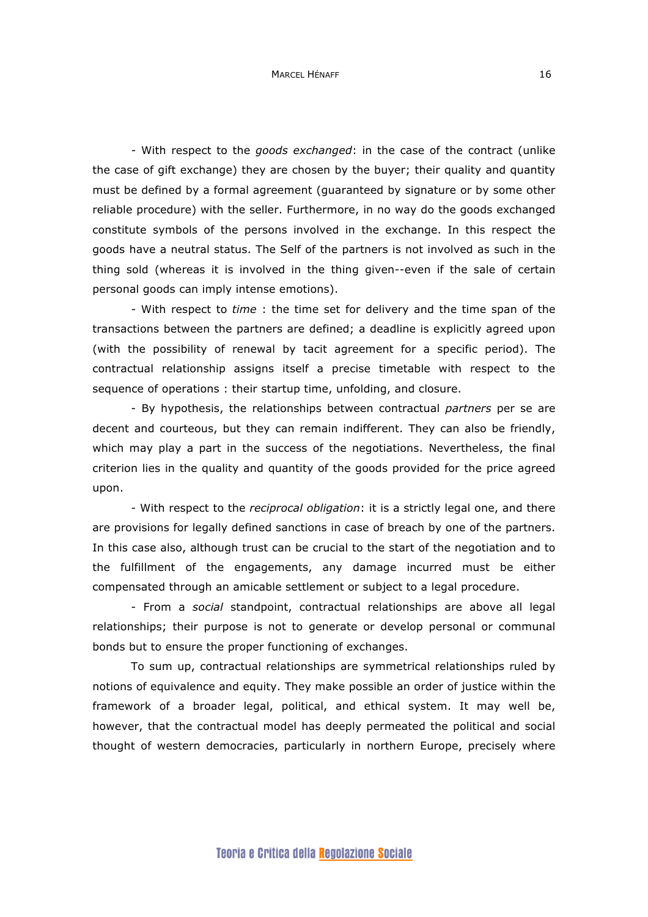- With respect to the *goods exchanged*: in the case of the contract (unlike the case of gift exchange) they are chosen by the buyer; their quality and quantity must be defined by a formal agreement (guaranteed by signature or by some other reliable procedure) with the seller. Furthermore, in no way do the goods exchanged constitute symbols of the persons involved in the exchange. In this respect the goods have a neutral status. The Self of the partners is not involved as such in the thing sold (whereas it is involved in the thing given--even if the sale of certain personal goods can imply intense emotions).

- With respect to *time* : the time set for delivery and the time span of the transactions between the partners are defined; a deadline is explicitly agreed upon (with the possibility of renewal by tacit agreement for a specific period). The contractual relationship assigns itself a precise timetable with respect to the sequence of operations : their startup time, unfolding, and closure.

- By hypothesis, the relationships between contractual *partners* per se are decent and courteous, but they can remain indifferent. They can also be friendly, which may play a part in the success of the negotiations. Nevertheless, the final criterion lies in the quality and quantity of the goods provided for the price agreed upon.

- With respect to the *reciprocal obligation*: it is a strictly legal one, and there are provisions for legally defined sanctions in case of breach by one of the partners. In this case also, although trust can be crucial to the start of the negotiation and to the fulfillment of the engagements, any damage incurred must be either compensated through an amicable settlement or subject to a legal procedure.

- From a *social* standpoint, contractual relationships are above all legal relationships; their purpose is not to generate or develop personal or communal bonds but to ensure the proper functioning of exchanges.

To sum up, contractual relationships are symmetrical relationships ruled by notions of equivalence and equity. They make possible an order of justice within the framework of a broader legal, political, and ethical system. It may well be, however, that the contractual model has deeply permeated the political and social thought of western democracies, particularly in northern Europe, precisely where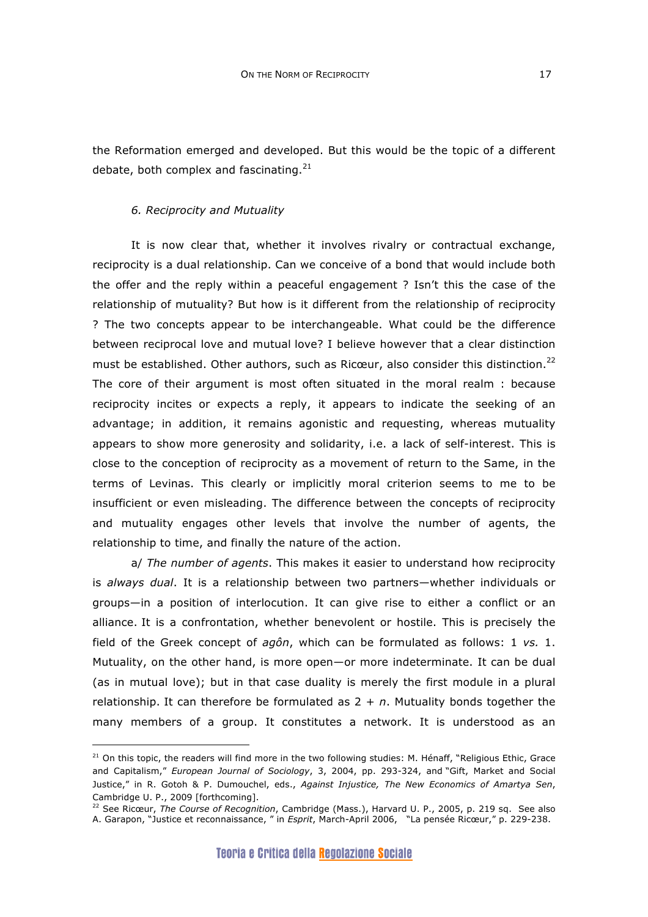the Reformation emerged and developed. But this would be the topic of a different debate, both complex and fascinating.<sup>21</sup>

#### *6. Reciprocity and Mutuality*

 $\overline{a}$ 

It is now clear that, whether it involves rivalry or contractual exchange, reciprocity is a dual relationship. Can we conceive of a bond that would include both the offer and the reply within a peaceful engagement ? Isn't this the case of the relationship of mutuality? But how is it different from the relationship of reciprocity ? The two concepts appear to be interchangeable. What could be the difference between reciprocal love and mutual love? I believe however that a clear distinction must be established. Other authors, such as Ricœur, also consider this distinction.<sup>22</sup> The core of their argument is most often situated in the moral realm : because reciprocity incites or expects a reply, it appears to indicate the seeking of an advantage; in addition, it remains agonistic and requesting, whereas mutuality appears to show more generosity and solidarity, i.e. a lack of self-interest. This is close to the conception of reciprocity as a movement of return to the Same, in the terms of Levinas. This clearly or implicitly moral criterion seems to me to be insufficient or even misleading. The difference between the concepts of reciprocity and mutuality engages other levels that involve the number of agents, the relationship to time, and finally the nature of the action.

a/ *The number of agents*. This makes it easier to understand how reciprocity is *always dual*. It is a relationship between two partners—whether individuals or groups—in a position of interlocution. It can give rise to either a conflict or an alliance. It is a confrontation, whether benevolent or hostile. This is precisely the field of the Greek concept of *agôn*, which can be formulated as follows: 1 *vs.* 1. Mutuality, on the other hand, is more open—or more indeterminate. It can be dual (as in mutual love); but in that case duality is merely the first module in a plural relationship. It can therefore be formulated as  $2 + n$ . Mutuality bonds together the many members of a group. It constitutes a network. It is understood as an

 $21$  On this topic, the readers will find more in the two following studies: M. Hénaff, "Religious Ethic, Grace and Capitalism," *European Journal of Sociology*, 3, 2004, pp. 293-324, and "Gift, Market and Social Justice," in R. Gotoh & P. Dumouchel, eds., *Against Injustice, The New Economics of Amartya Sen*, Cambridge U. P., 2009 [forthcoming].

<sup>22</sup> See Ricœur, *The Course of Recognition*, Cambridge (Mass.), Harvard U. P., 2005, p. 219 sq. See also A. Garapon, "Justice et reconnaissance, " in *Esprit*, March-April 2006, "La pensée Ricœur," p. 229-238.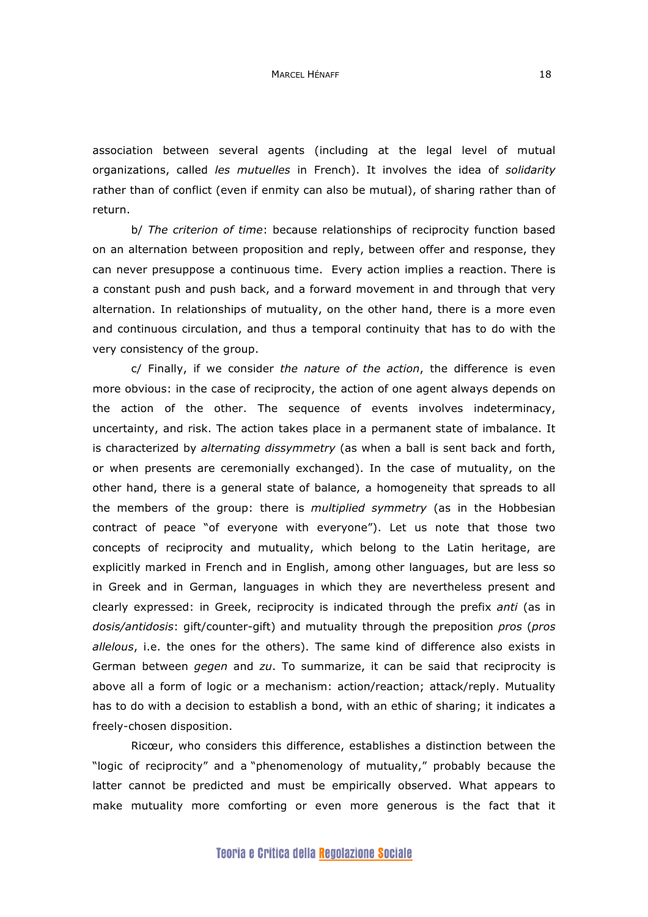association between several agents (including at the legal level of mutual organizations, called *les mutuelles* in French). It involves the idea of *solidarity* rather than of conflict (even if enmity can also be mutual), of sharing rather than of return.

b/ *The criterion of time*: because relationships of reciprocity function based on an alternation between proposition and reply, between offer and response, they can never presuppose a continuous time. Every action implies a reaction. There is a constant push and push back, and a forward movement in and through that very alternation. In relationships of mutuality, on the other hand, there is a more even and continuous circulation, and thus a temporal continuity that has to do with the very consistency of the group.

c/ Finally, if we consider *the nature of the action*, the difference is even more obvious: in the case of reciprocity, the action of one agent always depends on the action of the other. The sequence of events involves indeterminacy, uncertainty, and risk. The action takes place in a permanent state of imbalance. It is characterized by *alternating dissymmetry* (as when a ball is sent back and forth, or when presents are ceremonially exchanged). In the case of mutuality, on the other hand, there is a general state of balance, a homogeneity that spreads to all the members of the group: there is *multiplied symmetry* (as in the Hobbesian contract of peace "of everyone with everyone"). Let us note that those two concepts of reciprocity and mutuality, which belong to the Latin heritage, are explicitly marked in French and in English, among other languages, but are less so in Greek and in German, languages in which they are nevertheless present and clearly expressed: in Greek, reciprocity is indicated through the prefix *anti* (as in *dosis/antidosis*: gift/counter-gift) and mutuality through the preposition *pros* (*pros allelous*, i.e. the ones for the others). The same kind of difference also exists in German between *gegen* and *zu*. To summarize, it can be said that reciprocity is above all a form of logic or a mechanism: action/reaction; attack/reply. Mutuality has to do with a decision to establish a bond, with an ethic of sharing; it indicates a freely-chosen disposition.

Ricœur, who considers this difference, establishes a distinction between the "logic of reciprocity" and a "phenomenology of mutuality," probably because the latter cannot be predicted and must be empirically observed. What appears to make mutuality more comforting or even more generous is the fact that it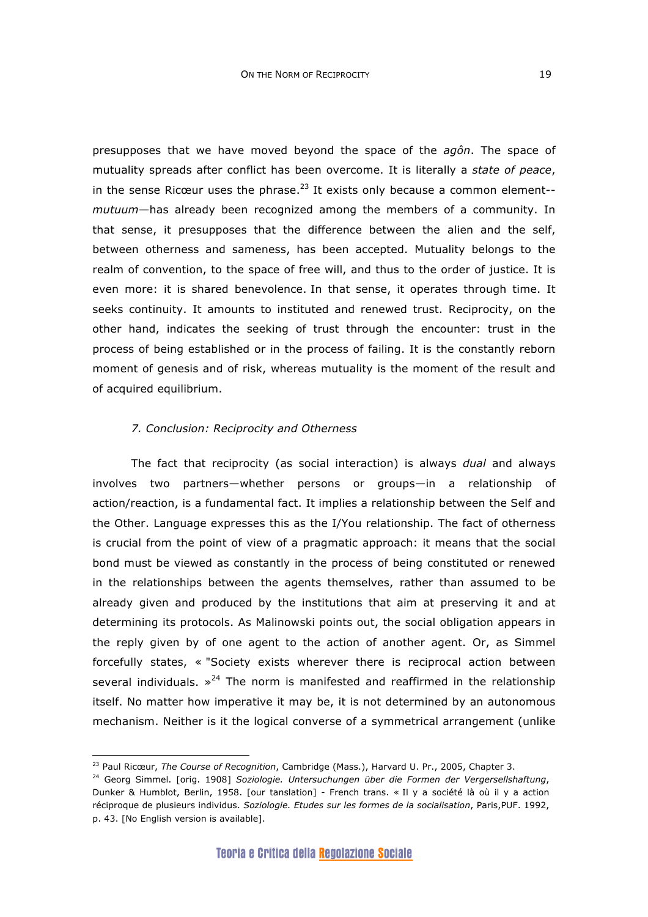presupposes that we have moved beyond the space of the *agôn*. The space of mutuality spreads after conflict has been overcome. It is literally a *state of peace*, in the sense Ricœur uses the phrase.<sup>23</sup> It exists only because a common element-*mutuum*—has already been recognized among the members of a community. In that sense, it presupposes that the difference between the alien and the self, between otherness and sameness, has been accepted. Mutuality belongs to the realm of convention, to the space of free will, and thus to the order of justice. It is even more: it is shared benevolence. In that sense, it operates through time. It seeks continuity. It amounts to instituted and renewed trust. Reciprocity, on the other hand, indicates the seeking of trust through the encounter: trust in the process of being established or in the process of failing. It is the constantly reborn moment of genesis and of risk, whereas mutuality is the moment of the result and of acquired equilibrium.

### *7. Conclusion: Reciprocity and Otherness*

The fact that reciprocity (as social interaction) is always *dual* and always involves two partners—whether persons or groups—in a relationship of action/reaction, is a fundamental fact. It implies a relationship between the Self and the Other. Language expresses this as the I/You relationship. The fact of otherness is crucial from the point of view of a pragmatic approach: it means that the social bond must be viewed as constantly in the process of being constituted or renewed in the relationships between the agents themselves, rather than assumed to be already given and produced by the institutions that aim at preserving it and at determining its protocols. As Malinowski points out, the social obligation appears in the reply given by of one agent to the action of another agent. Or, as Simmel forcefully states, « "Society exists wherever there is reciprocal action between several individuals.  $x^{24}$  The norm is manifested and reaffirmed in the relationship itself. No matter how imperative it may be, it is not determined by an autonomous mechanism. Neither is it the logical converse of a symmetrical arrangement (unlike

<sup>&</sup>lt;sup>23</sup> Paul Ricœur, *The Course of Recognition*, Cambridge (Mass.), Harvard U. Pr., 2005, Chapter 3.<br><sup>24</sup> Georg Simmel. [orig. 1908] *Soziologie. Untersuchungen über die Formen der Vergersellshaftung*, Dunker & Humblot, Berlin, 1958. [our tanslation] - French trans. « Il y a société là où il y a action réciproque de plusieurs individus. *Soziologie. Etudes sur les formes de la socialisation*, Paris,PUF. 1992, p. 43. [No English version is available].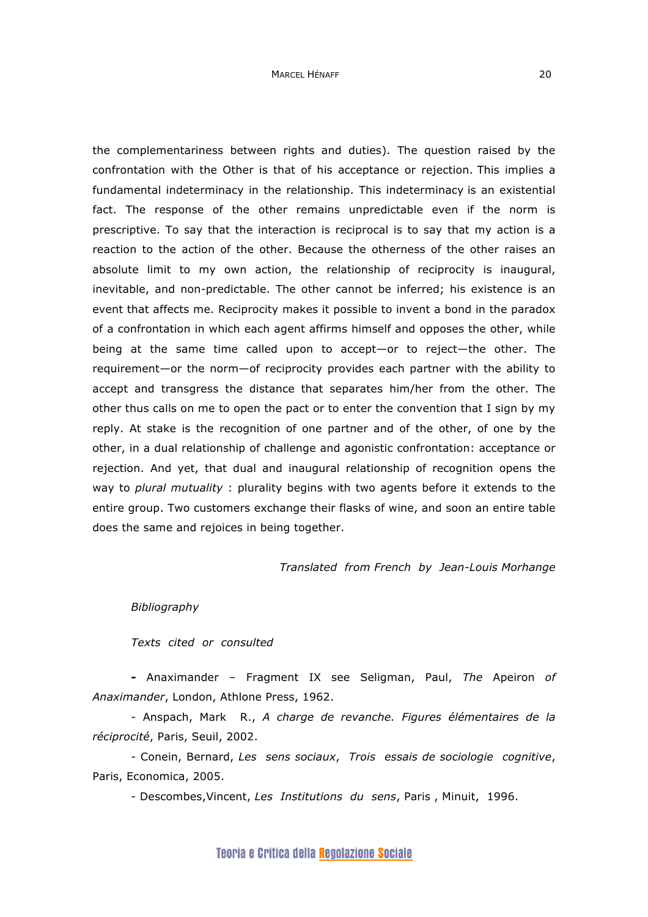the complementariness between rights and duties). The question raised by the confrontation with the Other is that of his acceptance or rejection. This implies a fundamental indeterminacy in the relationship. This indeterminacy is an existential fact. The response of the other remains unpredictable even if the norm is prescriptive. To say that the interaction is reciprocal is to say that my action is a reaction to the action of the other. Because the otherness of the other raises an absolute limit to my own action, the relationship of reciprocity is inaugural, inevitable, and non-predictable. The other cannot be inferred; his existence is an event that affects me. Reciprocity makes it possible to invent a bond in the paradox of a confrontation in which each agent affirms himself and opposes the other, while being at the same time called upon to accept—or to reject—the other. The requirement—or the norm—of reciprocity provides each partner with the ability to accept and transgress the distance that separates him/her from the other. The other thus calls on me to open the pact or to enter the convention that I sign by my reply. At stake is the recognition of one partner and of the other, of one by the other, in a dual relationship of challenge and agonistic confrontation: acceptance or rejection. And yet, that dual and inaugural relationship of recognition opens the way to *plural mutuality* : plurality begins with two agents before it extends to the entire group. Two customers exchange their flasks of wine, and soon an entire table does the same and rejoices in being together.

 *Translated from French by Jean-Louis Morhange*

### *Bibliography*

### *Texts cited or consulted*

**-** Anaximander – Fragment IX see Seligman, Paul, *The* Apeiron *of Anaximander*, London, Athlone Press, 1962.

- Anspach, Mark R., *A charge de revanche. Figures élémentaires de la réciprocité*, Paris, Seuil, 2002.

- Conein, Bernard, *Les sens sociaux*, *Trois essais de sociologie cognitive*, Paris, Economica, 2005.

- Descombes,Vincent, *Les Institutions du sens*, Paris , Minuit, 1996.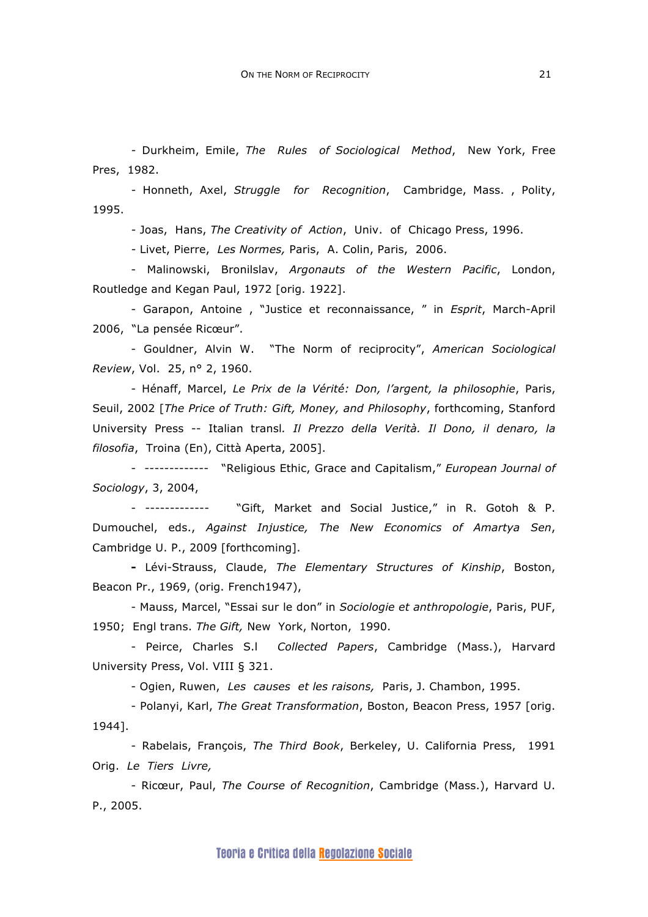- Durkheim, Emile, *The Rules of Sociological Method*, New York, Free Pres, 1982.

- Honneth, Axel, *Struggle for Recognition*, Cambridge, Mass. , Polity, 1995.

- Joas, Hans, *The Creativity of Action*, Univ. of Chicago Press, 1996.

- Livet, Pierre, *Les Normes,* Paris, A. Colin, Paris, 2006.

- Malinowski, Bronilslav, *Argonauts of the Western Pacific*, London, Routledge and Kegan Paul, 1972 [orig. 1922].

- Garapon, Antoine , "Justice et reconnaissance, " in *Esprit*, March-April 2006, "La pensée Ricœur".

- Gouldner, Alvin W. "The Norm of reciprocity", *American Sociological Review*, Vol. 25, n° 2, 1960.

- Hénaff, Marcel, *Le Prix de la Vérité: Don, l'argent, la philosophie*, Paris, Seuil, 2002 [*The Price of Truth: Gift, Money, and Philosophy*, forthcoming, Stanford University Press -- Italian transl*. Il Prezzo della Verità. Il Dono, il denaro, la filosofia*, Troina (En), Città Aperta, 2005].

- ------------- "Religious Ethic, Grace and Capitalism," *European Journal of Sociology*, 3, 2004,

- ------------- "Gift, Market and Social Justice," in R. Gotoh & P. Dumouchel, eds., *Against Injustice, The New Economics of Amartya Sen*, Cambridge U. P., 2009 [forthcoming].

**-** Lévi-Strauss, Claude, *The Elementary Structures of Kinship*, Boston, Beacon Pr., 1969, (orig. French1947),

- Mauss, Marcel, "Essai sur le don" in *Sociologie et anthropologie*, Paris, PUF, 1950; Engl trans. *The Gift,* New York, Norton, 1990.

- Peirce, Charles S.l *Collected Papers*, Cambridge (Mass.), Harvard University Press, Vol. VIII § 321.

- Ogien, Ruwen, *Les causes et les raisons,* Paris, J. Chambon, 1995.

- Polanyi, Karl, *The Great Transformation*, Boston, Beacon Press, 1957 [orig. 1944].

- Rabelais, François, *The Third Book*, Berkeley, U. California Press, 1991 Orig. *Le Tiers Livre,* 

- Ricœur, Paul, *The Course of Recognition*, Cambridge (Mass.), Harvard U. P., 2005.